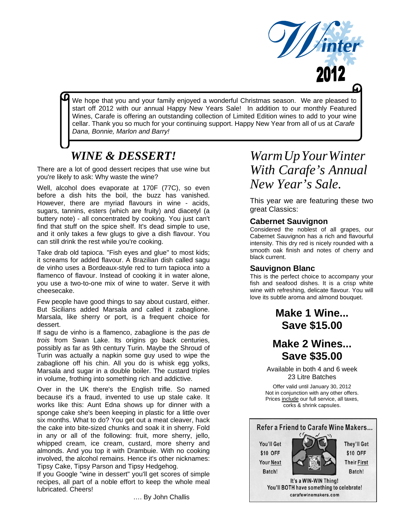

We hope that you and your family enjoyed a wonderful Christmas season. We are pleased to<br>start off 2012 with our annual Happy New Years Sale! In addition to our monthly Featured Wines, Carafe is offering an outstanding collection of Limited Edition wines to add to your wine cellar. Thank you so much for your continuing support. Happy New Year from all of us at *Carafe Dana, Bonnie, Marlon and Barry!* 

# *WINE & DESSERT!*

There are a lot of good dessert recipes that use wine but you're likely to ask: Why waste the wine?

Well, alcohol does evaporate at 170F (77C), so even before a dish hits the boil, the buzz has vanished. However, there are myriad flavours in wine - acids, sugars, tannins, esters (which are fruity) and diacetyl (a buttery note) - all concentrated by cooking. You just can't find that stuff on the spice shelf. It's dead simple to use, and it only takes a few glugs to give a dish flavour. You can still drink the rest while you're cooking.

Take drab old tapioca. "Fish eyes and glue" to most kids; it screams for added flavour. A Brazilian dish called sagu de vinho uses a Bordeaux-style red to turn tapioca into a flamenco of flavour. Instead of cooking it in water alone, you use a two-to-one mix of wine to water. Serve it with cheesecake.

Few people have good things to say about custard, either. But Sicilians added Marsala and called it zabaglione. Marsala, like sherry or port, is a frequent choice for dessert.

If sagu de vinho is a flamenco, zabaglione is the *pas de trois* from Swan Lake. Its origins go back centuries, possibly as far as 9th century Turin. Maybe the Shroud of Turin was actually a napkin some guy used to wipe the zabaglione off his chin. All you do is whisk egg yolks, Marsala and sugar in a double boiler. The custard triples in volume, frothing into something rich and addictive.

Over in the UK there's the English trifle. So named because it's a fraud, invented to use up stale cake. It works like this: Aunt Edna shows up for dinner with a sponge cake she's been keeping in plastic for a little over six months. What to do? You get out a meat cleaver, hack the cake into bite-sized chunks and soak it in sherry. Fold in any or all of the following: fruit, more sherry, jello, whipped cream, ice cream, custard, more sherry and almonds. And you top it with Drambuie. With no cooking involved, the alcohol remains. Hence it's other nicknames: Tipsy Cake, Tipsy Parson and Tipsy Hedgehog.

If you Google "wine in dessert" you'll get scores of simple recipes, all part of a noble effort to keep the whole meal lubricated. Cheers!

…. By John Challis

# *WarmUpYourWinter With Carafe's Annual New Year's Sale.*

This year we are featuring these two great Classics:

## **Cabernet Sauvignon**

Considered the noblest of all grapes, our Cabernet Sauvignon has a rich and flavourful intensity. This dry red is nicely rounded with a smooth oak finish and notes of cherry and black current.

## **Sauvignon Blanc**

This is the perfect choice to accompany your fish and seafood dishes. It is a crisp white wine with refreshing, delicate flavour. You will love its subtle aroma and almond bouquet.

# **Make 1 Wine... Save \$15.00**

# **Make 2 Wines... Save \$35.00**

Available in both 4 and 6 week 23 Litre Batches

Offer valid until January 30, 2012 Not in conjunction with any other offers. Prices include our full service, all taxes, corks & shrink capsules.